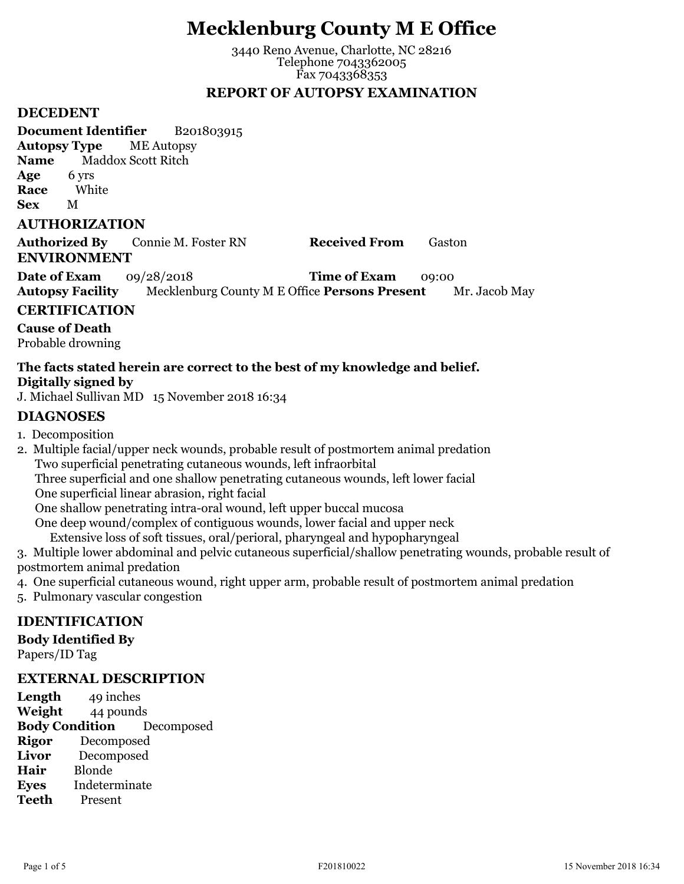# **Mecklenburg County M E Office**

3440 Reno Avenue, Charlotte, NC 28216 Telephone 7043362005 Fax 7043368353

## **REPORT OF AUTOPSY EXAMINATION**

#### **DECEDENT**

**Document Identifier** B201803915 **Autopsy Type** ME Autopsy **Name** Maddox Scott Ritch **Age** 6 yrs **Race** White **Sex** M

#### **AUTHORIZATION**

**Authorized By** Connie M. Foster RN **Received From** Gaston **ENVIRONMENT**

**Date of Exam** 09/28/2018 **Time of Exam** 09:00 **Autopsy Facility** Mecklenburg County M E Office **Persons Present** Mr. Jacob May

## **CERTIFICATION**

**Cause of Death** Probable drowning

## **The facts stated herein are correct to the best of my knowledge and belief. Digitally signed by**

J. Michael Sullivan MD 15 November 2018 16:34

## **DIAGNOSES**

1. Decomposition

2. Multiple facial/upper neck wounds, probable result of postmortem animal predation Two superficial penetrating cutaneous wounds, left infraorbital Three superficial and one shallow penetrating cutaneous wounds, left lower facial One superficial linear abrasion, right facial One shallow penetrating intra-oral wound, left upper buccal mucosa One deep wound/complex of contiguous wounds, lower facial and upper neck Extensive loss of soft tissues, oral/perioral, pharyngeal and hypopharyngeal

- 3. Multiple lower abdominal and pelvic cutaneous superficial/shallow penetrating wounds, probable result of postmortem animal predation
- 4. One superficial cutaneous wound, right upper arm, probable result of postmortem animal predation
- 5. Pulmonary vascular congestion

## **IDENTIFICATION**

**Body Identified By**

Papers/ID Tag

## **EXTERNAL DESCRIPTION**

Length 49 inches **Weight** 44 pounds **Body Condition** Decomposed **Rigor** Decomposed **Livor** Decomposed **Hair** Blonde **Eyes** Indeterminate **Teeth** Present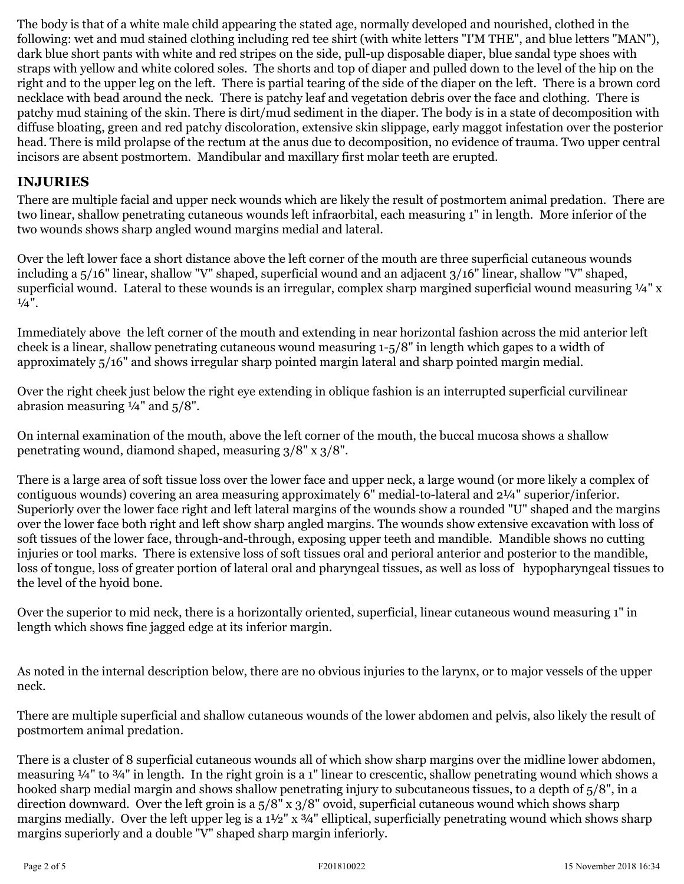The body is that of a white male child appearing the stated age, normally developed and nourished, clothed in the following: wet and mud stained clothing including red tee shirt (with white letters "I'M THE", and blue letters "MAN"), dark blue short pants with white and red stripes on the side, pull-up disposable diaper, blue sandal type shoes with straps with yellow and white colored soles. The shorts and top of diaper and pulled down to the level of the hip on the right and to the upper leg on the left. There is partial tearing of the side of the diaper on the left. There is a brown cord necklace with bead around the neck. There is patchy leaf and vegetation debris over the face and clothing. There is patchy mud staining of the skin. There is dirt/mud sediment in the diaper. The body is in a state of decomposition with diffuse bloating, green and red patchy discoloration, extensive skin slippage, early maggot infestation over the posterior head. There is mild prolapse of the rectum at the anus due to decomposition, no evidence of trauma. Two upper central incisors are absent postmortem. Mandibular and maxillary first molar teeth are erupted.

## **INJURIES**

There are multiple facial and upper neck wounds which are likely the result of postmortem animal predation. There are two linear, shallow penetrating cutaneous wounds left infraorbital, each measuring 1" in length. More inferior of the two wounds shows sharp angled wound margins medial and lateral.

Over the left lower face a short distance above the left corner of the mouth are three superficial cutaneous wounds including a 5/16" linear, shallow "V" shaped, superficial wound and an adjacent 3/16" linear, shallow "V" shaped, superficial wound. Lateral to these wounds is an irregular, complex sharp margined superficial wound measuring 1/4" x  $\frac{1}{4}$ ".

Immediately above the left corner of the mouth and extending in near horizontal fashion across the mid anterior left cheek is a linear, shallow penetrating cutaneous wound measuring 1-5/8" in length which gapes to a width of approximately 5/16" and shows irregular sharp pointed margin lateral and sharp pointed margin medial.

Over the right cheek just below the right eye extending in oblique fashion is an interrupted superficial curvilinear abrasion measuring  $\frac{1}{4}$ " and  $\frac{1}{5}$ %".

On internal examination of the mouth, above the left corner of the mouth, the buccal mucosa shows a shallow penetrating wound, diamond shaped, measuring 3/8" x 3/8".

There is a large area of soft tissue loss over the lower face and upper neck, a large wound (or more likely a complex of contiguous wounds) covering an area measuring approximately 6" medial-to-lateral and 2¼" superior/inferior. Superiorly over the lower face right and left lateral margins of the wounds show a rounded "U" shaped and the margins over the lower face both right and left show sharp angled margins. The wounds show extensive excavation with loss of soft tissues of the lower face, through-and-through, exposing upper teeth and mandible. Mandible shows no cutting injuries or tool marks. There is extensive loss of soft tissues oral and perioral anterior and posterior to the mandible, loss of tongue, loss of greater portion of lateral oral and pharyngeal tissues, as well as loss of hypopharyngeal tissues to the level of the hyoid bone.

Over the superior to mid neck, there is a horizontally oriented, superficial, linear cutaneous wound measuring 1" in length which shows fine jagged edge at its inferior margin.

As noted in the internal description below, there are no obvious injuries to the larynx, or to major vessels of the upper neck.

There are multiple superficial and shallow cutaneous wounds of the lower abdomen and pelvis, also likely the result of postmortem animal predation.

There is a cluster of 8 superficial cutaneous wounds all of which show sharp margins over the midline lower abdomen, measuring ¼" to ¾" in length. In the right groin is a 1" linear to crescentic, shallow penetrating wound which shows a hooked sharp medial margin and shows shallow penetrating injury to subcutaneous tissues, to a depth of 5/8", in a direction downward. Over the left groin is a 5/8" x 3/8" ovoid, superficial cutaneous wound which shows sharp margins medially. Over the left upper leg is a 1½" x 3/4" elliptical, superficially penetrating wound which shows sharp margins superiorly and a double "V" shaped sharp margin inferiorly.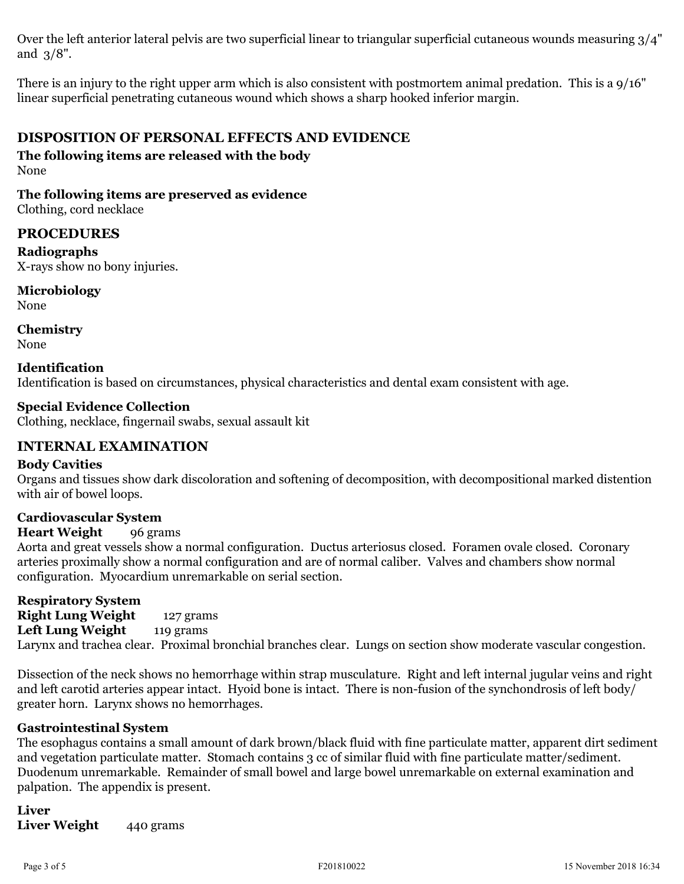Over the left anterior lateral pelvis are two superficial linear to triangular superficial cutaneous wounds measuring 3/4" and 3/8".

There is an injury to the right upper arm which is also consistent with postmortem animal predation. This is a 9/16" linear superficial penetrating cutaneous wound which shows a sharp hooked inferior margin.

## **DISPOSITION OF PERSONAL EFFECTS AND EVIDENCE**

**The following items are released with the body** None

## **The following items are preserved as evidence**

Clothing, cord necklace

## **PROCEDURES**

**Radiographs** X-rays show no bony injuries.

**Microbiology**

None

**Chemistry** None

#### **Identification** Identification is based on circumstances, physical characteristics and dental exam consistent with age.

## **Special Evidence Collection**

Clothing, necklace, fingernail swabs, sexual assault kit

## **INTERNAL EXAMINATION**

## **Body Cavities**

Organs and tissues show dark discoloration and softening of decomposition, with decompositional marked distention with air of bowel loops.

## **Cardiovascular System**

## **Heart Weight** 96 grams

Aorta and great vessels show a normal configuration. Ductus arteriosus closed. Foramen ovale closed. Coronary arteries proximally show a normal configuration and are of normal caliber. Valves and chambers show normal configuration. Myocardium unremarkable on serial section.

**Respiratory System Right Lung Weight** 127 grams **Left Lung Weight** 119 grams Larynx and trachea clear. Proximal bronchial branches clear. Lungs on section show moderate vascular congestion.

Dissection of the neck shows no hemorrhage within strap musculature. Right and left internal jugular veins and right and left carotid arteries appear intact. Hyoid bone is intact. There is non-fusion of the synchondrosis of left body/ greater horn. Larynx shows no hemorrhages.

## **Gastrointestinal System**

The esophagus contains a small amount of dark brown/black fluid with fine particulate matter, apparent dirt sediment and vegetation particulate matter. Stomach contains 3 cc of similar fluid with fine particulate matter/sediment. Duodenum unremarkable. Remainder of small bowel and large bowel unremarkable on external examination and palpation. The appendix is present.

**Liver** Liver Weight 440 grams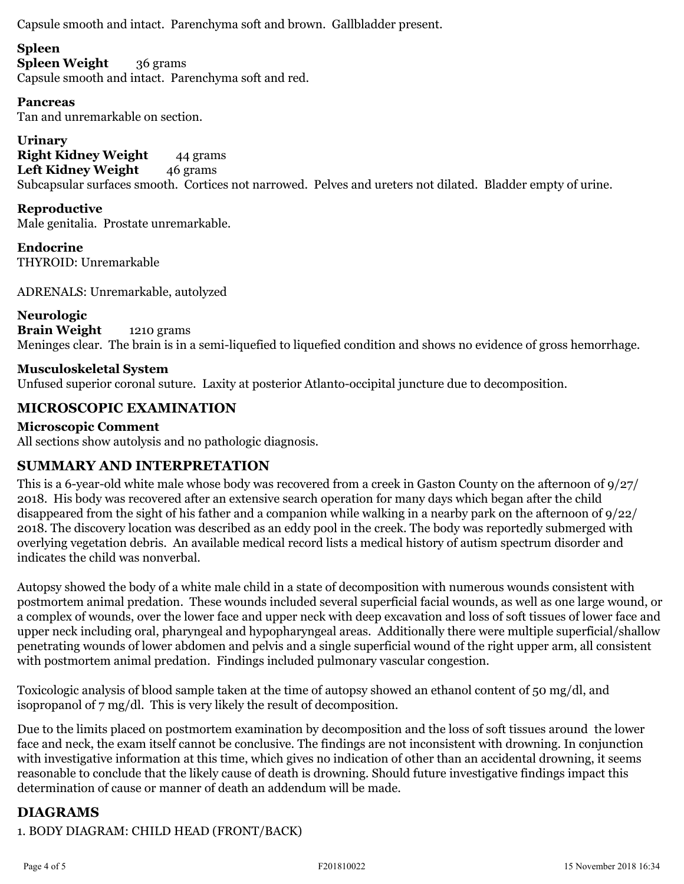Capsule smooth and intact. Parenchyma soft and brown. Gallbladder present.

## **Spleen**

**Spleen Weight** 36 grams Capsule smooth and intact. Parenchyma soft and red.

## **Pancreas**

Tan and unremarkable on section.

**Urinary Right Kidney Weight** 44 grams Left Kidney Weight 46 grams Subcapsular surfaces smooth. Cortices not narrowed. Pelves and ureters not dilated. Bladder empty of urine.

## **Reproductive**

Male genitalia. Prostate unremarkable.

**Endocrine** THYROID: Unremarkable

ADRENALS: Unremarkable, autolyzed

## **Neurologic**

**Brain Weight** 1210 grams Meninges clear. The brain is in a semi-liquefied to liquefied condition and shows no evidence of gross hemorrhage.

## **Musculoskeletal System**

Unfused superior coronal suture. Laxity at posterior Atlanto-occipital juncture due to decomposition.

## **MICROSCOPIC EXAMINATION**

## **Microscopic Comment**

All sections show autolysis and no pathologic diagnosis.

## **SUMMARY AND INTERPRETATION**

This is a 6-year-old white male whose body was recovered from a creek in Gaston County on the afternoon of 9/27/ 2018. His body was recovered after an extensive search operation for many days which began after the child disappeared from the sight of his father and a companion while walking in a nearby park on the afternoon of 9/22/ 2018. The discovery location was described as an eddy pool in the creek. The body was reportedly submerged with overlying vegetation debris. An available medical record lists a medical history of autism spectrum disorder and indicates the child was nonverbal.

Autopsy showed the body of a white male child in a state of decomposition with numerous wounds consistent with postmortem animal predation. These wounds included several superficial facial wounds, as well as one large wound, or a complex of wounds, over the lower face and upper neck with deep excavation and loss of soft tissues of lower face and upper neck including oral, pharyngeal and hypopharyngeal areas. Additionally there were multiple superficial/shallow penetrating wounds of lower abdomen and pelvis and a single superficial wound of the right upper arm, all consistent with postmortem animal predation. Findings included pulmonary vascular congestion.

Toxicologic analysis of blood sample taken at the time of autopsy showed an ethanol content of 50 mg/dl, and isopropanol of 7 mg/dl. This is very likely the result of decomposition.

Due to the limits placed on postmortem examination by decomposition and the loss of soft tissues around the lower face and neck, the exam itself cannot be conclusive. The findings are not inconsistent with drowning. In conjunction with investigative information at this time, which gives no indication of other than an accidental drowning, it seems reasonable to conclude that the likely cause of death is drowning. Should future investigative findings impact this determination of cause or manner of death an addendum will be made.

## **DIAGRAMS**

1. BODY DIAGRAM: CHILD HEAD (FRONT/BACK)